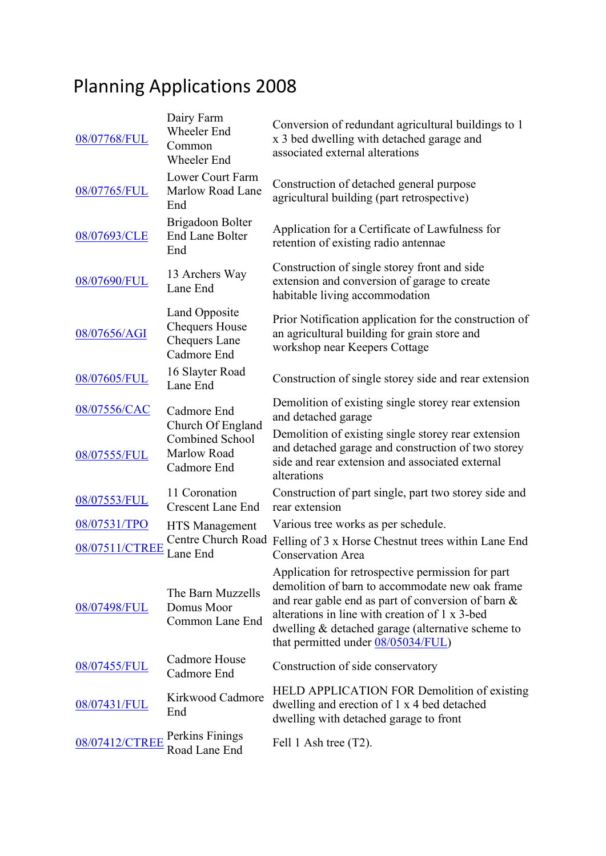## Planning Applications 2008

| 08/07768/FUL   | Dairy Farm<br><b>Wheeler End</b><br>Common<br>Wheeler End              | Conversion of redundant agricultural buildings to 1<br>x 3 bed dwelling with detached garage and<br>associated external alterations                                                                                                                                                                     |
|----------------|------------------------------------------------------------------------|---------------------------------------------------------------------------------------------------------------------------------------------------------------------------------------------------------------------------------------------------------------------------------------------------------|
| 08/07765/FUL   | Lower Court Farm<br>Marlow Road Lane<br>End                            | Construction of detached general purpose<br>agricultural building (part retrospective)                                                                                                                                                                                                                  |
| 08/07693/CLE   | Brigadoon Bolter<br><b>End Lane Bolter</b><br>End                      | Application for a Certificate of Lawfulness for<br>retention of existing radio antennae                                                                                                                                                                                                                 |
| 08/07690/FUL   | 13 Archers Way<br>Lane End                                             | Construction of single storey front and side<br>extension and conversion of garage to create<br>habitable living accommodation                                                                                                                                                                          |
| 08/07656/AGI   | Land Opposite<br><b>Chequers House</b><br>Chequers Lane<br>Cadmore End | Prior Notification application for the construction of<br>an agricultural building for grain store and<br>workshop near Keepers Cottage                                                                                                                                                                 |
| 08/07605/FUL   | 16 Slayter Road<br>Lane End                                            | Construction of single storey side and rear extension                                                                                                                                                                                                                                                   |
| 08/07556/CAC   | Cadmore End<br>Church Of England                                       | Demolition of existing single storey rear extension<br>and detached garage                                                                                                                                                                                                                              |
| 08/07555/FUL   | <b>Combined School</b><br>Marlow Road<br>Cadmore End                   | Demolition of existing single storey rear extension<br>and detached garage and construction of two storey<br>side and rear extension and associated external<br>alterations                                                                                                                             |
| 08/07553/FUL   | 11 Coronation<br><b>Crescent Lane End</b>                              | Construction of part single, part two storey side and<br>rear extension                                                                                                                                                                                                                                 |
| 08/07531/TPO   | HTS Management                                                         | Various tree works as per schedule.                                                                                                                                                                                                                                                                     |
| 08/07511/CTREE | Centre Church Road<br>Lane End                                         | Felling of 3 x Horse Chestnut trees within Lane End<br><b>Conservation Area</b>                                                                                                                                                                                                                         |
| 08/07498/FUL   | The Barn Muzzells<br>Domus Moor<br>Common Lane End                     | Application for retrospective permission for part<br>demolition of barn to accommodate new oak frame<br>and rear gable end as part of conversion of barn &<br>alterations in line with creation of 1 x 3-bed<br>dwelling & detached garage (alternative scheme to<br>that permitted under 08/05034/FUL) |
| 08/07455/FUL   | Cadmore House<br>Cadmore End                                           | Construction of side conservatory                                                                                                                                                                                                                                                                       |
| 08/07431/FUL   | Kirkwood Cadmore<br>End                                                | HELD APPLICATION FOR Demolition of existing<br>dwelling and erection of 1 x 4 bed detached<br>dwelling with detached garage to front                                                                                                                                                                    |
| 08/07412/CTREE | Perkins Finings<br>Road Lane End                                       | Fell 1 Ash tree (T2).                                                                                                                                                                                                                                                                                   |